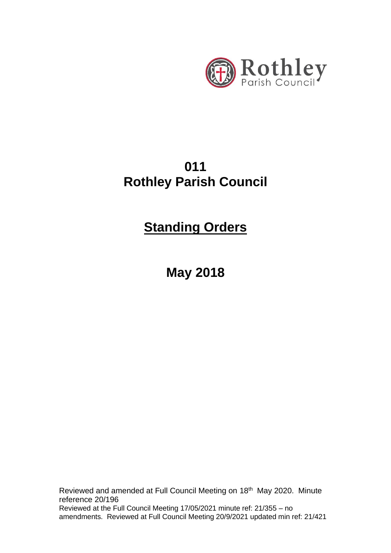

# **011 Rothley Parish Council**

# **Standing Orders**

**May 2018**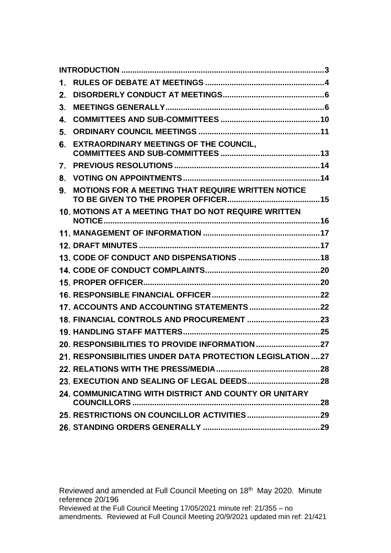| 1.             |                                                            |  |
|----------------|------------------------------------------------------------|--|
| 2.             |                                                            |  |
| 3 <sub>1</sub> |                                                            |  |
| 4.             |                                                            |  |
| 5.             |                                                            |  |
| 6.             | <b>EXTRAORDINARY MEETINGS OF THE COUNCIL.</b>              |  |
| 7.             |                                                            |  |
| 8.             |                                                            |  |
| 9.             | MOTIONS FOR A MEETING THAT REQUIRE WRITTEN NOTICE          |  |
|                | 10. MOTIONS AT A MEETING THAT DO NOT REQUIRE WRITTEN       |  |
|                |                                                            |  |
|                |                                                            |  |
|                |                                                            |  |
|                |                                                            |  |
|                |                                                            |  |
|                |                                                            |  |
|                |                                                            |  |
|                |                                                            |  |
|                |                                                            |  |
|                | 20. RESPONSIBILITIES TO PROVIDE INFORMATION 27             |  |
|                | 21. RESPONSIBILITIES UNDER DATA PROTECTION LEGISLATION  27 |  |
|                |                                                            |  |
|                |                                                            |  |
|                | 24. COMMUNICATING WITH DISTRICT AND COUNTY OR UNITARY      |  |
|                |                                                            |  |
|                |                                                            |  |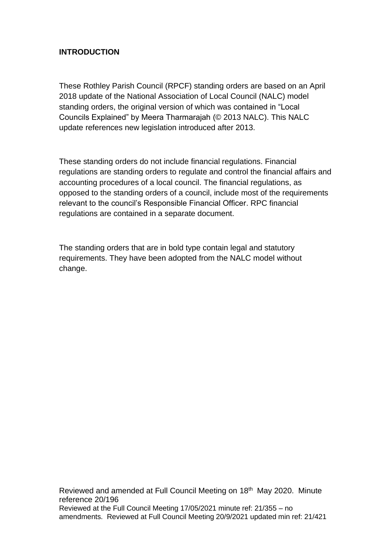# <span id="page-2-0"></span>**INTRODUCTION**

These Rothley Parish Council (RPCF) standing orders are based on an April 2018 update of the National Association of Local Council (NALC) model standing orders, the original version of which was contained in "Local Councils Explained" by Meera Tharmarajah (© 2013 NALC). This NALC update references new legislation introduced after 2013.

These standing orders do not include financial regulations. Financial regulations are standing orders to regulate and control the financial affairs and accounting procedures of a local council. The financial regulations, as opposed to the standing orders of a council, include most of the requirements relevant to the council's Responsible Financial Officer. RPC financial regulations are contained in a separate document.

The standing orders that are in bold type contain legal and statutory requirements. They have been adopted from the NALC model without change.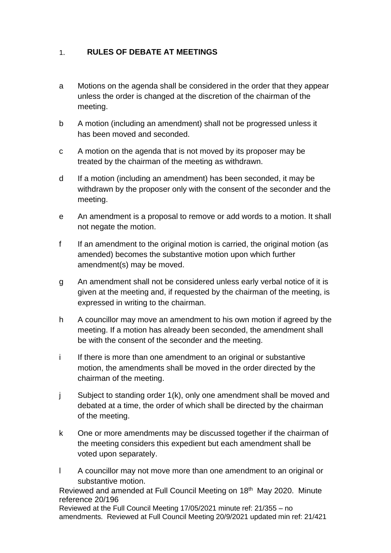#### <span id="page-3-0"></span>**RULES OF DEBATE AT MEETINGS**  $1.$

- a Motions on the agenda shall be considered in the order that they appear unless the order is changed at the discretion of the chairman of the meeting.
- b A motion (including an amendment) shall not be progressed unless it has been moved and seconded.
- c A motion on the agenda that is not moved by its proposer may be treated by the chairman of the meeting as withdrawn.
- d If a motion (including an amendment) has been seconded, it may be withdrawn by the proposer only with the consent of the seconder and the meeting.
- e An amendment is a proposal to remove or add words to a motion. It shall not negate the motion.
- f If an amendment to the original motion is carried, the original motion (as amended) becomes the substantive motion upon which further amendment(s) may be moved.
- g An amendment shall not be considered unless early verbal notice of it is given at the meeting and, if requested by the chairman of the meeting, is expressed in writing to the chairman.
- h A councillor may move an amendment to his own motion if agreed by the meeting. If a motion has already been seconded, the amendment shall be with the consent of the seconder and the meeting.
- i If there is more than one amendment to an original or substantive motion, the amendments shall be moved in the order directed by the chairman of the meeting.
- j Subject to standing order 1(k), only one amendment shall be moved and debated at a time, the order of which shall be directed by the chairman of the meeting.
- k One or more amendments may be discussed together if the chairman of the meeting considers this expedient but each amendment shall be voted upon separately.
- l A councillor may not move more than one amendment to an original or substantive motion.

Reviewed and amended at Full Council Meeting on 18<sup>th</sup> May 2020. Minute reference 20/196

Reviewed at the Full Council Meeting 17/05/2021 minute ref: 21/355 – no amendments. Reviewed at Full Council Meeting 20/9/2021 updated min ref: 21/421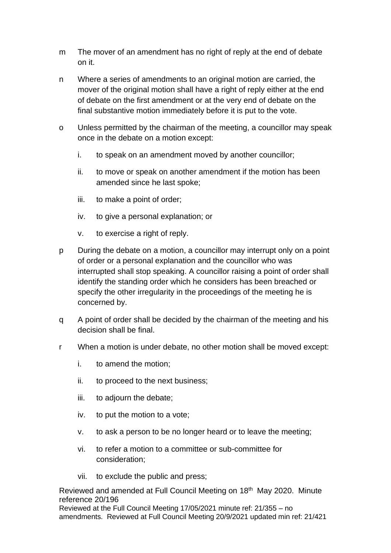- m The mover of an amendment has no right of reply at the end of debate on it.
- n Where a series of amendments to an original motion are carried, the mover of the original motion shall have a right of reply either at the end of debate on the first amendment or at the very end of debate on the final substantive motion immediately before it is put to the vote.
- o Unless permitted by the chairman of the meeting, a councillor may speak once in the debate on a motion except:
	- i. to speak on an amendment moved by another councillor;
	- ii. to move or speak on another amendment if the motion has been amended since he last spoke;
	- iii. to make a point of order;
	- iv. to give a personal explanation; or
	- v. to exercise a right of reply.
- p During the debate on a motion, a councillor may interrupt only on a point of order or a personal explanation and the councillor who was interrupted shall stop speaking. A councillor raising a point of order shall identify the standing order which he considers has been breached or specify the other irregularity in the proceedings of the meeting he is concerned by.
- q A point of order shall be decided by the chairman of the meeting and his decision shall be final.
- r When a motion is under debate, no other motion shall be moved except:
	- i. to amend the motion;
	- ii. to proceed to the next business;
	- iii. to adjourn the debate;
	- iv. to put the motion to a vote;
	- v. to ask a person to be no longer heard or to leave the meeting;
	- vi. to refer a motion to a committee or sub-committee for consideration;
	- vii. to exclude the public and press;

Reviewed and amended at Full Council Meeting on 18<sup>th</sup> May 2020. Minute reference 20/196

Reviewed at the Full Council Meeting 17/05/2021 minute ref: 21/355 – no amendments. Reviewed at Full Council Meeting 20/9/2021 updated min ref: 21/421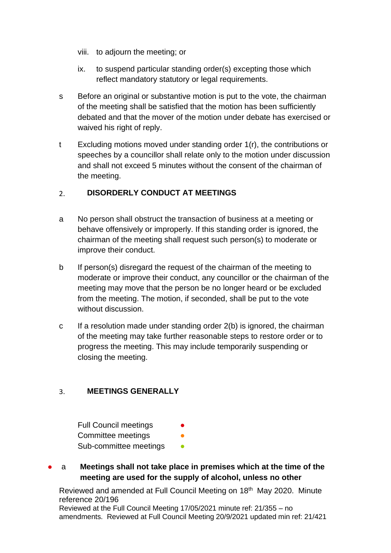- viii. to adjourn the meeting; or
- ix. to suspend particular standing order(s) excepting those which reflect mandatory statutory or legal requirements.
- s Before an original or substantive motion is put to the vote, the chairman of the meeting shall be satisfied that the motion has been sufficiently debated and that the mover of the motion under debate has exercised or waived his right of reply.
- t Excluding motions moved under standing order 1(r), the contributions or speeches by a councillor shall relate only to the motion under discussion and shall not exceed 5 minutes without the consent of the chairman of the meeting.

#### <span id="page-5-0"></span>**DISORDERLY CONDUCT AT MEETINGS**  $2<sub>1</sub>$

- a No person shall obstruct the transaction of business at a meeting or behave offensively or improperly. If this standing order is ignored, the chairman of the meeting shall request such person(s) to moderate or improve their conduct.
- b If person(s) disregard the request of the chairman of the meeting to moderate or improve their conduct, any councillor or the chairman of the meeting may move that the person be no longer heard or be excluded from the meeting. The motion, if seconded, shall be put to the vote without discussion.
- c If a resolution made under standing order 2(b) is ignored, the chairman of the meeting may take further reasonable steps to restore order or to progress the meeting. This may include temporarily suspending or closing the meeting.

#### <span id="page-5-1"></span>**MEETINGS GENERALLY**  $3<sub>1</sub>$

**Full Council meetings** Committee meetings Sub-committee meetings

# a **Meetings shall not take place in premises which at the time of the meeting are used for the supply of alcohol, unless no other**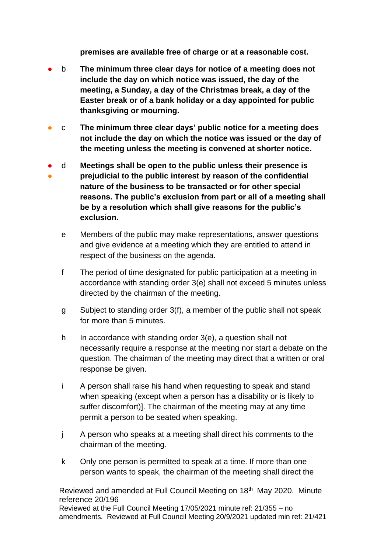**premises are available free of charge or at a reasonable cost.** 

- b **The minimum three clear days for notice of a meeting does not include the day on which notice was issued, the day of the meeting, a Sunday, a day of the Christmas break, a day of the Easter break or of a bank holiday or a day appointed for public thanksgiving or mourning.**
- c **The minimum three clear days' public notice for a meeting does not include the day on which the notice was issued or the day of the meeting unless the meeting is convened at shorter notice.**
- ● d **Meetings shall be open to the public unless their presence is prejudicial to the public interest by reason of the confidential nature of the business to be transacted or for other special reasons. The public's exclusion from part or all of a meeting shall be by a resolution which shall give reasons for the public's exclusion.**
	- e Members of the public may make representations, answer questions and give evidence at a meeting which they are entitled to attend in respect of the business on the agenda.
	- f The period of time designated for public participation at a meeting in accordance with standing order 3(e) shall not exceed 5 minutes unless directed by the chairman of the meeting.
	- g Subject to standing order 3(f), a member of the public shall not speak for more than 5 minutes.
	- h In accordance with standing order  $3(e)$ , a question shall not necessarily require a response at the meeting nor start a debate on the question. The chairman of the meeting may direct that a written or oral response be given.
	- i A person shall raise his hand when requesting to speak and stand when speaking (except when a person has a disability or is likely to suffer discomfort)]. The chairman of the meeting may at any time permit a person to be seated when speaking.
	- j A person who speaks at a meeting shall direct his comments to the chairman of the meeting.
	- k Only one person is permitted to speak at a time. If more than one person wants to speak, the chairman of the meeting shall direct the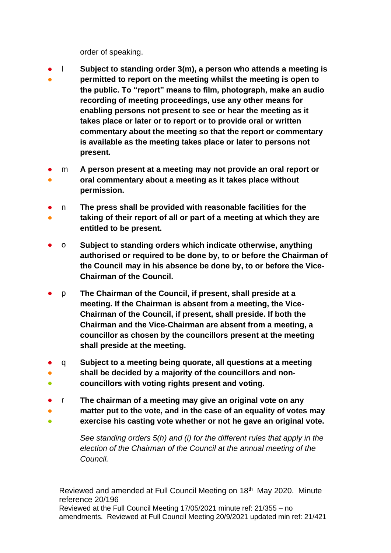order of speaking.

- l **Subject to standing order 3(m), a person who attends a meeting is**
- **permitted to report on the meeting whilst the meeting is open to the public. To "report" means to film, photograph, make an audio recording of meeting proceedings, use any other means for enabling persons not present to see or hear the meeting as it takes place or later or to report or to provide oral or written commentary about the meeting so that the report or commentary is available as the meeting takes place or later to persons not present.**
- ● m **A person present at a meeting may not provide an oral report or oral commentary about a meeting as it takes place without permission.**
- n **The press shall be provided with reasonable facilities for the**
- **taking of their report of all or part of a meeting at which they are entitled to be present.**
- o **Subject to standing orders which indicate otherwise, anything authorised or required to be done by, to or before the Chairman of the Council may in his absence be done by, to or before the Vice-Chairman of the Council.**
- p **The Chairman of the Council, if present, shall preside at a meeting. If the Chairman is absent from a meeting, the Vice-Chairman of the Council, if present, shall preside. If both the Chairman and the Vice-Chairman are absent from a meeting, a councillor as chosen by the councillors present at the meeting shall preside at the meeting.**
- ● q **Subject to a meeting being quorate, all questions at a meeting shall be decided by a majority of the councillors and non-**
- **councillors with voting rights present and voting.**
- r **The chairman of a meeting may give an original vote on any**
- **matter put to the vote, and in the case of an equality of votes may**
- **exercise his casting vote whether or not he gave an original vote.**

*See standing orders 5(h) and (i) for the different rules that apply in the election of the Chairman of the Council at the annual meeting of the Council.*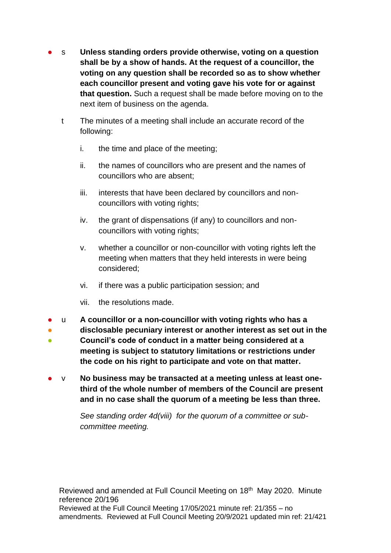- s Unless standing orders provide otherwise, voting on a question **shall be by a show of hands. At the request of a councillor, the voting on any question shall be recorded so as to show whether each councillor present and voting gave his vote for or against that question.** Such a request shall be made before moving on to the next item of business on the agenda.
	- t The minutes of a meeting shall include an accurate record of the following:
		- i. the time and place of the meeting;
		- ii. the names of councillors who are present and the names of councillors who are absent;
		- iii. interests that have been declared by councillors and noncouncillors with voting rights;
		- iv. the grant of dispensations (if any) to councillors and noncouncillors with voting rights;
		- v. whether a councillor or non-councillor with voting rights left the meeting when matters that they held interests in were being considered;
		- vi. if there was a public participation session; and
		- vii. the resolutions made.
- u **A councillor or a non-councillor with voting rights who has a**
- ● **disclosable pecuniary interest or another interest as set out in the Council's code of conduct in a matter being considered at a meeting is subject to statutory limitations or restrictions under the code on his right to participate and vote on that matter.**
- v **No business may be transacted at a meeting unless at least onethird of the whole number of members of the Council are present and in no case shall the quorum of a meeting be less than three.**

*See standing order 4d(viii) for the quorum of a committee or subcommittee meeting.*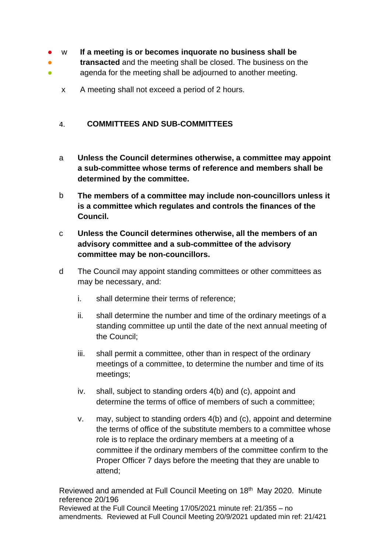- $\bullet$ w **If a meeting is or becomes inquorate no business shall be**
- ● **transacted** and the meeting shall be closed. The business on the agenda for the meeting shall be adjourned to another meeting.
	- x A meeting shall not exceed a period of 2 hours.

#### <span id="page-9-0"></span> $\mathbf{4}$ . **COMMITTEES AND SUB-COMMITTEES**

- a **Unless the Council determines otherwise, a committee may appoint a sub-committee whose terms of reference and members shall be determined by the committee.**
- b **The members of a committee may include non-councillors unless it is a committee which regulates and controls the finances of the Council.**
- c **Unless the Council determines otherwise, all the members of an advisory committee and a sub-committee of the advisory committee may be non-councillors.**
- d The Council may appoint standing committees or other committees as may be necessary, and:
	- i. shall determine their terms of reference;
	- ii. shall determine the number and time of the ordinary meetings of a standing committee up until the date of the next annual meeting of the Council;
	- iii. shall permit a committee, other than in respect of the ordinary meetings of a committee, to determine the number and time of its meetings;
	- iv. shall, subject to standing orders 4(b) and (c), appoint and determine the terms of office of members of such a committee;
	- v. may, subject to standing orders 4(b) and (c), appoint and determine the terms of office of the substitute members to a committee whose role is to replace the ordinary members at a meeting of a committee if the ordinary members of the committee confirm to the Proper Officer 7 days before the meeting that they are unable to attend;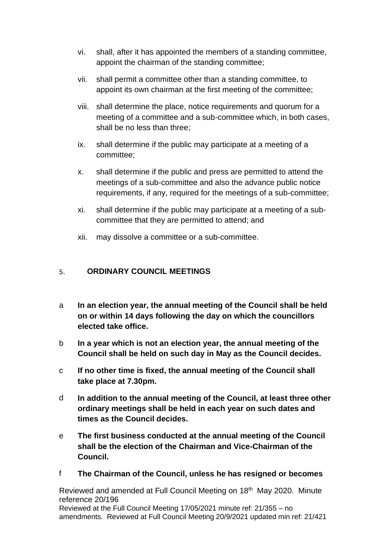- vi. shall, after it has appointed the members of a standing committee, appoint the chairman of the standing committee;
- vii. shall permit a committee other than a standing committee, to appoint its own chairman at the first meeting of the committee;
- viii. shall determine the place, notice requirements and quorum for a meeting of a committee and a sub-committee which, in both cases, shall be no less than three;
- ix. shall determine if the public may participate at a meeting of a committee;
- x. shall determine if the public and press are permitted to attend the meetings of a sub-committee and also the advance public notice requirements, if any, required for the meetings of a sub-committee;
- xi. shall determine if the public may participate at a meeting of a subcommittee that they are permitted to attend; and
- xii. may dissolve a committee or a sub-committee.

#### <span id="page-10-0"></span>**ORDINARY COUNCIL MEETINGS**   $5 -$

- a **In an election year, the annual meeting of the Council shall be held on or within 14 days following the day on which the councillors elected take office.**
- b **In a year which is not an election year, the annual meeting of the Council shall be held on such day in May as the Council decides.**
- c **If no other time is fixed, the annual meeting of the Council shall take place at 7.30pm.**
- d **In addition to the annual meeting of the Council, at least three other ordinary meetings shall be held in each year on such dates and times as the Council decides.**
- e **The first business conducted at the annual meeting of the Council shall be the election of the Chairman and Vice-Chairman of the Council.**
- f **The Chairman of the Council, unless he has resigned or becomes**

Reviewed and amended at Full Council Meeting on 18<sup>th</sup> May 2020. Minute reference 20/196 Reviewed at the Full Council Meeting 17/05/2021 minute ref: 21/355 – no

amendments. Reviewed at Full Council Meeting 20/9/2021 updated min ref: 21/421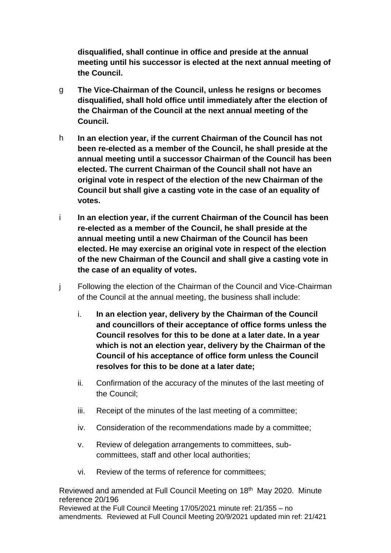**disqualified, shall continue in office and preside at the annual meeting until his successor is elected at the next annual meeting of the Council.** 

- g **The Vice-Chairman of the Council, unless he resigns or becomes disqualified, shall hold office until immediately after the election of the Chairman of the Council at the next annual meeting of the Council.**
- h **In an election year, if the current Chairman of the Council has not been re-elected as a member of the Council, he shall preside at the annual meeting until a successor Chairman of the Council has been elected. The current Chairman of the Council shall not have an original vote in respect of the election of the new Chairman of the Council but shall give a casting vote in the case of an equality of votes.**
- i **In an election year, if the current Chairman of the Council has been re-elected as a member of the Council, he shall preside at the annual meeting until a new Chairman of the Council has been elected. He may exercise an original vote in respect of the election of the new Chairman of the Council and shall give a casting vote in the case of an equality of votes.**
- j Following the election of the Chairman of the Council and Vice-Chairman of the Council at the annual meeting, the business shall include:
	- i. **In an election year, delivery by the Chairman of the Council and councillors of their acceptance of office forms unless the Council resolves for this to be done at a later date. In a year which is not an election year, delivery by the Chairman of the Council of his acceptance of office form unless the Council resolves for this to be done at a later date;**
	- ii. Confirmation of the accuracy of the minutes of the last meeting of the Council;
	- iii. Receipt of the minutes of the last meeting of a committee;
	- iv. Consideration of the recommendations made by a committee;
	- v. Review of delegation arrangements to committees, subcommittees, staff and other local authorities;
	- vi. Review of the terms of reference for committees;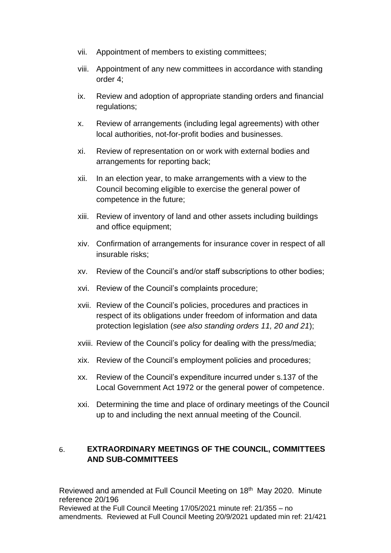- vii. Appointment of members to existing committees;
- viii. Appointment of any new committees in accordance with standing order 4;
- ix. Review and adoption of appropriate standing orders and financial regulations;
- x. Review of arrangements (including legal agreements) with other local authorities, not-for-profit bodies and businesses.
- xi. Review of representation on or work with external bodies and arrangements for reporting back;
- xii. In an election year, to make arrangements with a view to the Council becoming eligible to exercise the general power of competence in the future;
- xiii. Review of inventory of land and other assets including buildings and office equipment;
- xiv. Confirmation of arrangements for insurance cover in respect of all insurable risks;
- xv. Review of the Council's and/or staff subscriptions to other bodies;
- xvi. Review of the Council's complaints procedure;
- xvii. Review of the Council's policies, procedures and practices in respect of its obligations under freedom of information and data protection legislation (*see also standing orders 11, 20 and 21*);
- xviii. Review of the Council's policy for dealing with the press/media;
- xix. Review of the Council's employment policies and procedures;
- xx. Review of the Council's expenditure incurred under s.137 of the Local Government Act 1972 or the general power of competence.
- xxi. Determining the time and place of ordinary meetings of the Council up to and including the next annual meeting of the Council.

### <span id="page-12-0"></span>6. **EXTRAORDINARY MEETINGS OF THE COUNCIL, COMMITTEES AND SUB-COMMITTEES**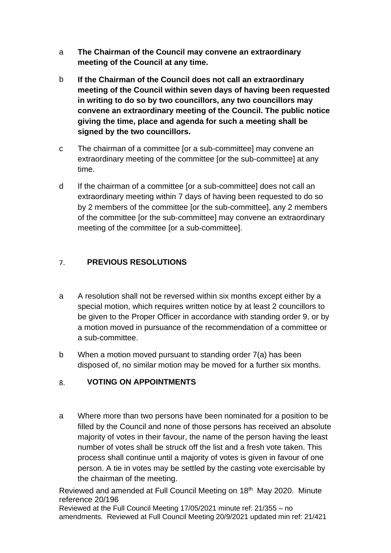- a **The Chairman of the Council may convene an extraordinary meeting of the Council at any time.**
- b **If the Chairman of the Council does not call an extraordinary meeting of the Council within seven days of having been requested in writing to do so by two councillors, any two councillors may convene an extraordinary meeting of the Council. The public notice giving the time, place and agenda for such a meeting shall be signed by the two councillors.**
- c The chairman of a committee [or a sub-committee] may convene an extraordinary meeting of the committee [or the sub-committee] at any time.
- d If the chairman of a committee [or a sub-committee] does not call an extraordinary meeting within 7 days of having been requested to do so by 2 members of the committee [or the sub-committee], any 2 members of the committee [or the sub-committee] may convene an extraordinary meeting of the committee [or a sub-committee].

#### <span id="page-13-0"></span> $7<sub>1</sub>$ **PREVIOUS RESOLUTIONS**

- a A resolution shall not be reversed within six months except either by a special motion, which requires written notice by at least 2 councillors to be given to the Proper Officer in accordance with standing order 9, or by a motion moved in pursuance of the recommendation of a committee or a sub-committee.
- b When a motion moved pursuant to standing order 7(a) has been disposed of, no similar motion may be moved for a further six months.

#### <span id="page-13-1"></span> $8<sub>1</sub>$ **VOTING ON APPOINTMENTS**

a Where more than two persons have been nominated for a position to be filled by the Council and none of those persons has received an absolute majority of votes in their favour, the name of the person having the least number of votes shall be struck off the list and a fresh vote taken. This process shall continue until a majority of votes is given in favour of one person. A tie in votes may be settled by the casting vote exercisable by the chairman of the meeting.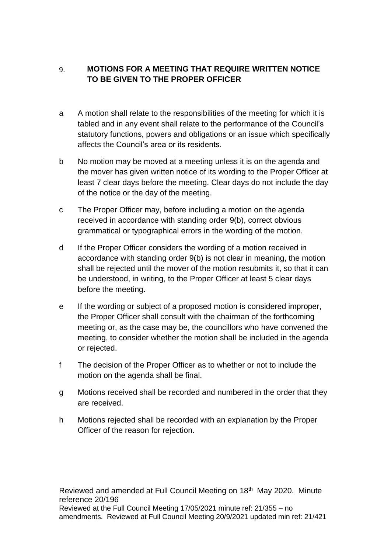### <span id="page-14-0"></span>9. **MOTIONS FOR A MEETING THAT REQUIRE WRITTEN NOTICE TO BE GIVEN TO THE PROPER OFFICER**

- a A motion shall relate to the responsibilities of the meeting for which it is tabled and in any event shall relate to the performance of the Council's statutory functions, powers and obligations or an issue which specifically affects the Council's area or its residents.
- b No motion may be moved at a meeting unless it is on the agenda and the mover has given written notice of its wording to the Proper Officer at least 7 clear days before the meeting. Clear days do not include the day of the notice or the day of the meeting.
- c The Proper Officer may, before including a motion on the agenda received in accordance with standing order 9(b), correct obvious grammatical or typographical errors in the wording of the motion.
- d If the Proper Officer considers the wording of a motion received in accordance with standing order 9(b) is not clear in meaning, the motion shall be rejected until the mover of the motion resubmits it, so that it can be understood, in writing, to the Proper Officer at least 5 clear days before the meeting.
- e If the wording or subject of a proposed motion is considered improper, the Proper Officer shall consult with the chairman of the forthcoming meeting or, as the case may be, the councillors who have convened the meeting, to consider whether the motion shall be included in the agenda or rejected.
- f The decision of the Proper Officer as to whether or not to include the motion on the agenda shall be final.
- g Motions received shall be recorded and numbered in the order that they are received.
- h Motions rejected shall be recorded with an explanation by the Proper Officer of the reason for rejection.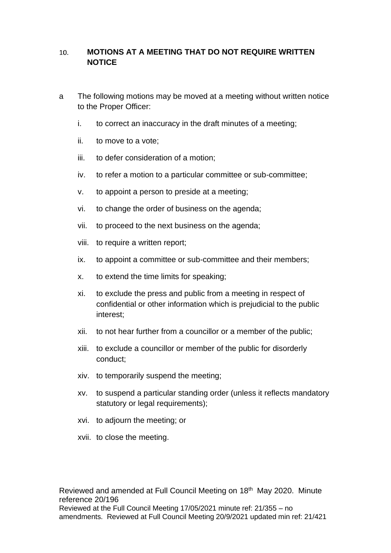### <span id="page-15-0"></span>**MOTIONS AT A MEETING THAT DO NOT REQUIRE WRITTEN**  10. **NOTICE**

- a The following motions may be moved at a meeting without written notice to the Proper Officer:
	- i. to correct an inaccuracy in the draft minutes of a meeting;
	- ii. to move to a vote;
	- iii. to defer consideration of a motion;
	- iv. to refer a motion to a particular committee or sub-committee;
	- v. to appoint a person to preside at a meeting;
	- vi. to change the order of business on the agenda;
	- vii. to proceed to the next business on the agenda;
	- viii. to require a written report;
	- ix. to appoint a committee or sub-committee and their members;
	- x. to extend the time limits for speaking;
	- xi. to exclude the press and public from a meeting in respect of confidential or other information which is prejudicial to the public interest;
	- xii. to not hear further from a councillor or a member of the public;
	- xiii. to exclude a councillor or member of the public for disorderly conduct;
	- xiv. to temporarily suspend the meeting;
	- xv. to suspend a particular standing order (unless it reflects mandatory statutory or legal requirements);
	- xvi. to adjourn the meeting; or
	- xvii. to close the meeting.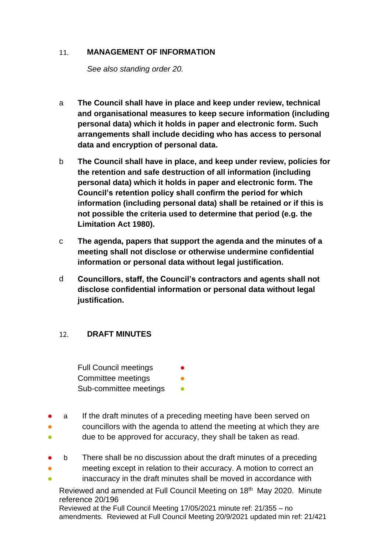#### <span id="page-16-0"></span>11. **MANAGEMENT OF INFORMATION**

*See also standing order 20.*

- a **The Council shall have in place and keep under review, technical and organisational measures to keep secure information (including personal data) which it holds in paper and electronic form. Such arrangements shall include deciding who has access to personal data and encryption of personal data.**
- b **The Council shall have in place, and keep under review, policies for the retention and safe destruction of all information (including personal data) which it holds in paper and electronic form. The Council's retention policy shall confirm the period for which information (including personal data) shall be retained or if this is not possible the criteria used to determine that period (e.g. the Limitation Act 1980).**
- c **The agenda, papers that support the agenda and the minutes of a meeting shall not disclose or otherwise undermine confidential information or personal data without legal justification.**
- d **Councillors, staff, the Council's contractors and agents shall not disclose confidential information or personal data without legal justification.**

#### <span id="page-16-1"></span> $12<sub>1</sub>$ **DRAFT MINUTES**

Full Council meetings Committee meetings Sub-committee meetings **•** 

- a If the draft minutes of a preceding meeting have been served on
- councillors with the agenda to attend the meeting at which they are
- due to be approved for accuracy, they shall be taken as read.
- b There shall be no discussion about the draft minutes of a preceding
- meeting except in relation to their accuracy. A motion to correct an
- inaccuracy in the draft minutes shall be moved in accordance with

Reviewed and amended at Full Council Meeting on 18<sup>th</sup> May 2020. Minute reference 20/196

Reviewed at the Full Council Meeting 17/05/2021 minute ref: 21/355 – no amendments. Reviewed at Full Council Meeting 20/9/2021 updated min ref: 21/421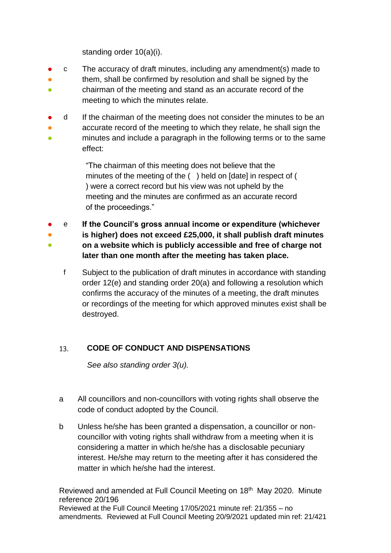standing order 10(a)(i).

- c The accuracy of draft minutes, including any amendment(s) made to
- them, shall be confirmed by resolution and shall be signed by the
- chairman of the meeting and stand as an accurate record of the meeting to which the minutes relate.
- 。<br>● d If the chairman of the meeting does not consider the minutes to be an
- ● accurate record of the meeting to which they relate, he shall sign the minutes and include a paragraph in the following terms or to the same effect:

"The chairman of this meeting does not believe that the minutes of the meeting of the ( ) held on [date] in respect of ( ) were a correct record but his view was not upheld by the meeting and the minutes are confirmed as an accurate record of the proceedings."

- e **If the Council's gross annual income or expenditure (whichever**
- ● **is higher) does not exceed £25,000, it shall publish draft minutes on a website which is publicly accessible and free of charge not later than one month after the meeting has taken place.**
	- f Subject to the publication of draft minutes in accordance with standing order 12(e) and standing order 20(a) and following a resolution which confirms the accuracy of the minutes of a meeting, the draft minutes or recordings of the meeting for which approved minutes exist shall be destroyed.

#### <span id="page-17-0"></span>**CODE OF CONDUCT AND DISPENSATIONS**  $13.$

*See also standing order 3(u).*

- a All councillors and non-councillors with voting rights shall observe the code of conduct adopted by the Council.
- b Unless he/she has been granted a dispensation, a councillor or noncouncillor with voting rights shall withdraw from a meeting when it is considering a matter in which he/she has a disclosable pecuniary interest. He/she may return to the meeting after it has considered the matter in which he/she had the interest.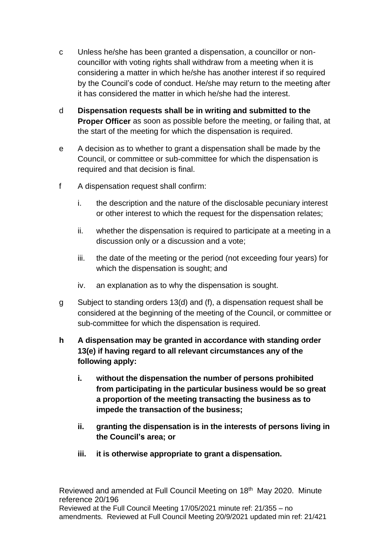- c Unless he/she has been granted a dispensation, a councillor or noncouncillor with voting rights shall withdraw from a meeting when it is considering a matter in which he/she has another interest if so required by the Council's code of conduct. He/she may return to the meeting after it has considered the matter in which he/she had the interest.
- d **Dispensation requests shall be in writing and submitted to the Proper Officer** as soon as possible before the meeting, or failing that, at the start of the meeting for which the dispensation is required.
- e A decision as to whether to grant a dispensation shall be made by the Council, or committee or sub-committee for which the dispensation is required and that decision is final.
- f A dispensation request shall confirm:
	- i. the description and the nature of the disclosable pecuniary interest or other interest to which the request for the dispensation relates;
	- ii. whether the dispensation is required to participate at a meeting in a discussion only or a discussion and a vote;
	- iii. the date of the meeting or the period (not exceeding four years) for which the dispensation is sought; and
	- iv. an explanation as to why the dispensation is sought.
- g Subject to standing orders 13(d) and (f), a dispensation request shall be considered at the beginning of the meeting of the Council, or committee or sub-committee for which the dispensation is required.
- **h A dispensation may be granted in accordance with standing order 13(e) if having regard to all relevant circumstances any of the following apply:**
	- **i. without the dispensation the number of persons prohibited from participating in the particular business would be so great a proportion of the meeting transacting the business as to impede the transaction of the business;**
	- **ii. granting the dispensation is in the interests of persons living in the Council's area; or**
	- **iii. it is otherwise appropriate to grant a dispensation.**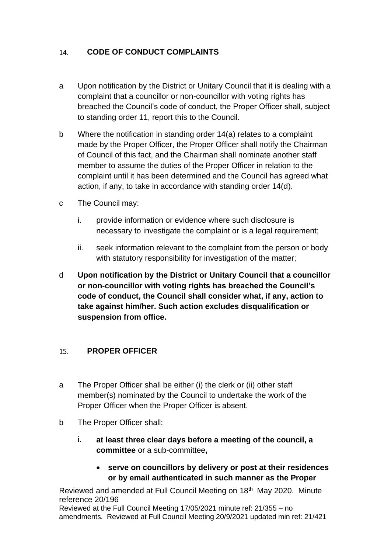#### <span id="page-19-0"></span>**CODE OF CONDUCT COMPLAINTS**  14.

- a Upon notification by the District or Unitary Council that it is dealing with a complaint that a councillor or non-councillor with voting rights has breached the Council's code of conduct, the Proper Officer shall, subject to standing order 11, report this to the Council.
- b Where the notification in standing order 14(a) relates to a complaint made by the Proper Officer, the Proper Officer shall notify the Chairman of Council of this fact, and the Chairman shall nominate another staff member to assume the duties of the Proper Officer in relation to the complaint until it has been determined and the Council has agreed what action, if any, to take in accordance with standing order 14(d).
- c The Council may:
	- i. provide information or evidence where such disclosure is necessary to investigate the complaint or is a legal requirement;
	- ii. seek information relevant to the complaint from the person or body with statutory responsibility for investigation of the matter;
- d **Upon notification by the District or Unitary Council that a councillor or non-councillor with voting rights has breached the Council's code of conduct, the Council shall consider what, if any, action to take against him/her. Such action excludes disqualification or suspension from office.**

#### <span id="page-19-1"></span>**PROPER OFFICER**   $15.$

- a The Proper Officer shall be either (i) the clerk or (ii) other staff member(s) nominated by the Council to undertake the work of the Proper Officer when the Proper Officer is absent.
- b The Proper Officer shall:
	- i. **at least three clear days before a meeting of the council, a committee** or a sub-committee**,**
		- **serve on councillors by delivery or post at their residences or by email authenticated in such manner as the Proper**

Reviewed and amended at Full Council Meeting on 18<sup>th</sup> May 2020. Minute reference 20/196

Reviewed at the Full Council Meeting 17/05/2021 minute ref: 21/355 – no amendments. Reviewed at Full Council Meeting 20/9/2021 updated min ref: 21/421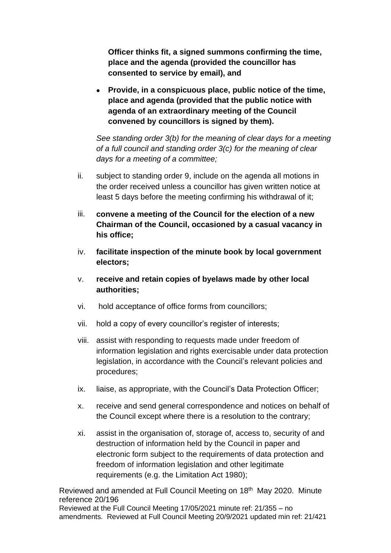**Officer thinks fit, a signed summons confirming the time, place and the agenda (provided the councillor has consented to service by email), and**

• **Provide, in a conspicuous place, public notice of the time, place and agenda (provided that the public notice with agenda of an extraordinary meeting of the Council convened by councillors is signed by them).**

*See standing order 3(b) for the meaning of clear days for a meeting of a full council and standing order 3(c) for the meaning of clear days for a meeting of a committee;*

- ii. subject to standing order 9, include on the agenda all motions in the order received unless a councillor has given written notice at least 5 days before the meeting confirming his withdrawal of it;
- iii. **convene a meeting of the Council for the election of a new Chairman of the Council, occasioned by a casual vacancy in his office;**
- iv. **facilitate inspection of the minute book by local government electors;**
- v. **receive and retain copies of byelaws made by other local authorities;**
- vi. hold acceptance of office forms from councillors;
- vii. hold a copy of every councillor's register of interests;
- viii. assist with responding to requests made under freedom of information legislation and rights exercisable under data protection legislation, in accordance with the Council's relevant policies and procedures;
- ix. liaise, as appropriate, with the Council's Data Protection Officer;
- x. receive and send general correspondence and notices on behalf of the Council except where there is a resolution to the contrary;
- xi. assist in the organisation of, storage of, access to, security of and destruction of information held by the Council in paper and electronic form subject to the requirements of data protection and freedom of information legislation and other legitimate requirements (e.g. the Limitation Act 1980);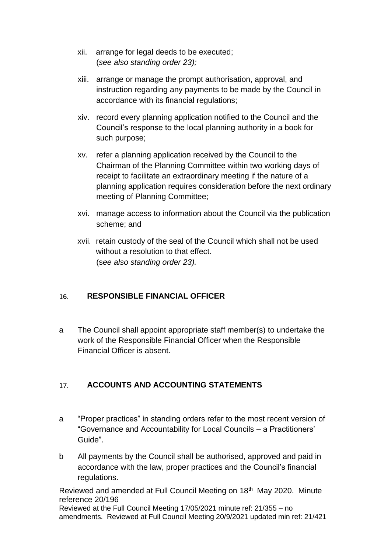- xii. arrange for legal deeds to be executed; (*see also standing order 23);*
- xiii. arrange or manage the prompt authorisation, approval, and instruction regarding any payments to be made by the Council in accordance with its financial regulations;
- xiv. record every planning application notified to the Council and the Council's response to the local planning authority in a book for such purpose;
- xv. refer a planning application received by the Council to the Chairman of the Planning Committee within two working days of receipt to facilitate an extraordinary meeting if the nature of a planning application requires consideration before the next ordinary meeting of Planning Committee;
- xvi. manage access to information about the Council via the publication scheme; and
- xvii. retain custody of the seal of the Council which shall not be used without a resolution to that effect. (s*ee also standing order 23).*

#### <span id="page-21-0"></span>16. **RESPONSIBLE FINANCIAL OFFICER**

a The Council shall appoint appropriate staff member(s) to undertake the work of the Responsible Financial Officer when the Responsible Financial Officer is absent.

#### <span id="page-21-1"></span>**ACCOUNTS AND ACCOUNTING STATEMENTS**  $17.$

- a "Proper practices" in standing orders refer to the most recent version of "Governance and Accountability for Local Councils – a Practitioners' Guide".
- b All payments by the Council shall be authorised, approved and paid in accordance with the law, proper practices and the Council's financial regulations.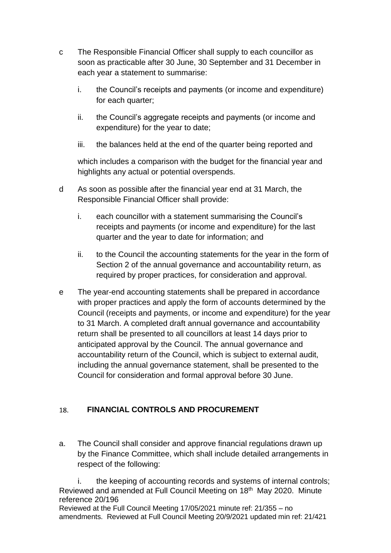- c The Responsible Financial Officer shall supply to each councillor as soon as practicable after 30 June, 30 September and 31 December in each year a statement to summarise:
	- i. the Council's receipts and payments (or income and expenditure) for each quarter;
	- ii. the Council's aggregate receipts and payments (or income and expenditure) for the year to date;
	- iii. the balances held at the end of the quarter being reported and

which includes a comparison with the budget for the financial year and highlights any actual or potential overspends.

- d As soon as possible after the financial year end at 31 March, the Responsible Financial Officer shall provide:
	- i. each councillor with a statement summarising the Council's receipts and payments (or income and expenditure) for the last quarter and the year to date for information; and
	- ii. to the Council the accounting statements for the year in the form of Section 2 of the annual governance and accountability return, as required by proper practices, for consideration and approval.
- e The year-end accounting statements shall be prepared in accordance with proper practices and apply the form of accounts determined by the Council (receipts and payments, or income and expenditure) for the year to 31 March. A completed draft annual governance and accountability return shall be presented to all councillors at least 14 days prior to anticipated approval by the Council. The annual governance and accountability return of the Council, which is subject to external audit, including the annual governance statement, shall be presented to the Council for consideration and formal approval before 30 June.

#### <span id="page-22-0"></span>**FINANCIAL CONTROLS AND PROCUREMENT** 18.

a. The Council shall consider and approve financial regulations drawn up by the Finance Committee, which shall include detailed arrangements in respect of the following:

Reviewed and amended at Full Council Meeting on 18<sup>th</sup> May 2020. Minute reference 20/196 Reviewed at the Full Council Meeting 17/05/2021 minute ref: 21/355 – no i. the keeping of accounting records and systems of internal controls;

amendments. Reviewed at Full Council Meeting 20/9/2021 updated min ref: 21/421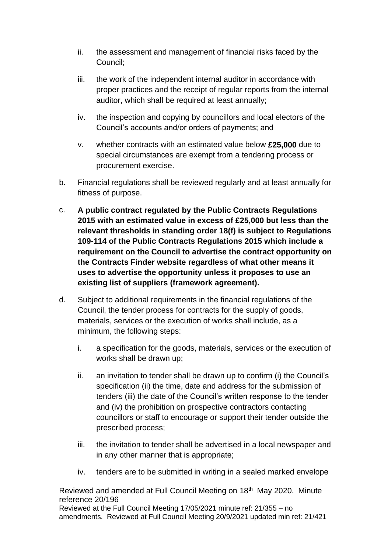- ii. the assessment and management of financial risks faced by the Council;
- iii. the work of the independent internal auditor in accordance with proper practices and the receipt of regular reports from the internal auditor, which shall be required at least annually;
- iv. the inspection and copying by councillors and local electors of the Council's accounts and/or orders of payments; and
- v. whether contracts with an estimated value below **£25,000** due to special circumstances are exempt from a tendering process or procurement exercise.
- b. Financial regulations shall be reviewed regularly and at least annually for fitness of purpose.
- c. **A public contract regulated by the Public Contracts Regulations 2015 with an estimated value in excess of £25,000 but less than the relevant thresholds in standing order 18(f) is subject to Regulations 109-114 of the Public Contracts Regulations 2015 which include a requirement on the Council to advertise the contract opportunity on the Contracts Finder website regardless of what other means it uses to advertise the opportunity unless it proposes to use an existing list of suppliers (framework agreement).**
- d. Subject to additional requirements in the financial regulations of the Council, the tender process for contracts for the supply of goods, materials, services or the execution of works shall include, as a minimum, the following steps:
	- i. a specification for the goods, materials, services or the execution of works shall be drawn up;
	- ii. an invitation to tender shall be drawn up to confirm (i) the Council's specification (ii) the time, date and address for the submission of tenders (iii) the date of the Council's written response to the tender and (iv) the prohibition on prospective contractors contacting councillors or staff to encourage or support their tender outside the prescribed process;
	- iii. the invitation to tender shall be advertised in a local newspaper and in any other manner that is appropriate;
	- iv. tenders are to be submitted in writing in a sealed marked envelope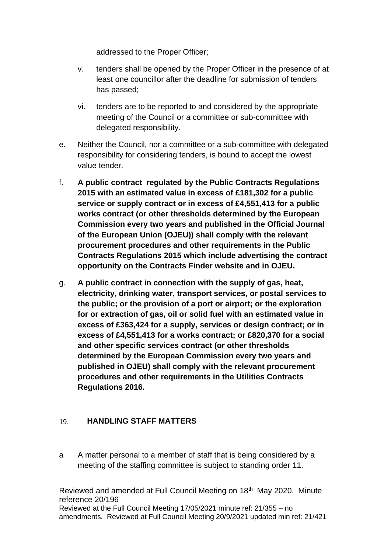addressed to the Proper Officer;

- v. tenders shall be opened by the Proper Officer in the presence of at least one councillor after the deadline for submission of tenders has passed;
- vi. tenders are to be reported to and considered by the appropriate meeting of the Council or a committee or sub-committee with delegated responsibility.
- e. Neither the Council, nor a committee or a sub-committee with delegated responsibility for considering tenders, is bound to accept the lowest value tender.
- f. **A public contract regulated by the Public Contracts Regulations 2015 with an estimated value in excess of £181,302 for a public service or supply contract or in excess of £4,551,413 for a public works contract (or other thresholds determined by the European Commission every two years and published in the Official Journal of the European Union (OJEU)) shall comply with the relevant procurement procedures and other requirements in the Public Contracts Regulations 2015 which include advertising the contract opportunity on the Contracts Finder website and in OJEU.**
- g. **A public contract in connection with the supply of gas, heat, electricity, drinking water, transport services, or postal services to the public; or the provision of a port or airport; or the exploration for or extraction of gas, oil or solid fuel with an estimated value in excess of £363,424 for a supply, services or design contract; or in excess of £4,551,413 for a works contract; or £820,370 for a social and other specific services contract (or other thresholds determined by the European Commission every two years and published in OJEU) shall comply with the relevant procurement procedures and other requirements in the Utilities Contracts Regulations 2016.**

#### <span id="page-24-0"></span>**HANDLING STAFF MATTERS**  $19<sub>1</sub>$

a A matter personal to a member of staff that is being considered by a meeting of the staffing committee is subject to standing order 11.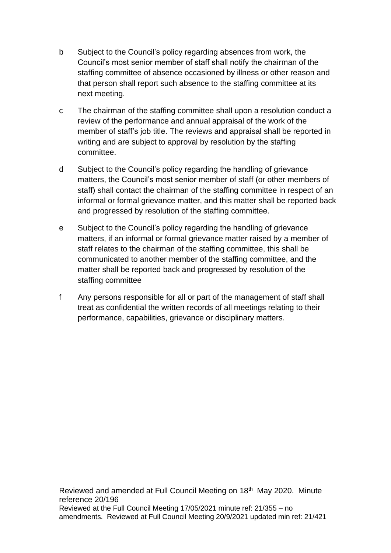- b Subject to the Council's policy regarding absences from work, the Council's most senior member of staff shall notify the chairman of the staffing committee of absence occasioned by illness or other reason and that person shall report such absence to the staffing committee at its next meeting.
- c The chairman of the staffing committee shall upon a resolution conduct a review of the performance and annual appraisal of the work of the member of staff's job title. The reviews and appraisal shall be reported in writing and are subject to approval by resolution by the staffing committee.
- d Subject to the Council's policy regarding the handling of grievance matters, the Council's most senior member of staff (or other members of staff) shall contact the chairman of the staffing committee in respect of an informal or formal grievance matter, and this matter shall be reported back and progressed by resolution of the staffing committee.
- e Subject to the Council's policy regarding the handling of grievance matters, if an informal or formal grievance matter raised by a member of staff relates to the chairman of the staffing committee, this shall be communicated to another member of the staffing committee, and the matter shall be reported back and progressed by resolution of the staffing committee
- f Any persons responsible for all or part of the management of staff shall treat as confidential the written records of all meetings relating to their performance, capabilities, grievance or disciplinary matters.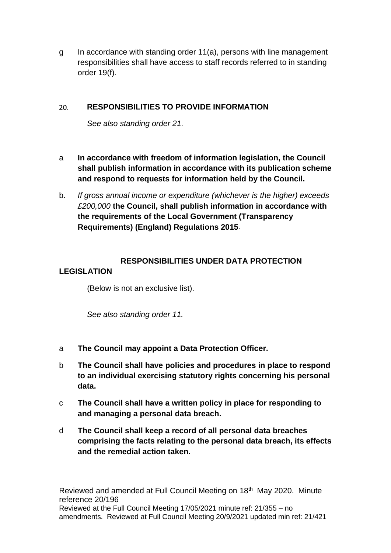g In accordance with standing order 11(a), persons with line management responsibilities shall have access to staff records referred to in standing order 19(f).

#### <span id="page-26-0"></span> $20<sub>1</sub>$ **RESPONSIBILITIES TO PROVIDE INFORMATION**

*See also standing order 21.*

- a **In accordance with freedom of information legislation, the Council shall publish information in accordance with its publication scheme and respond to requests for information held by the Council.**
- b. *If gross annual income or expenditure (whichever is the higher) exceeds £200,000* **the Council, shall publish information in accordance with the requirements of the Local Government (Transparency Requirements) (England) Regulations 2015**.

## <span id="page-26-1"></span>**RESPONSIBILITIES UNDER DATA PROTECTION**

## **LEGISLATION**

(Below is not an exclusive list).

*See also standing order 11.*

- a **The Council may appoint a Data Protection Officer.**
- b **The Council shall have policies and procedures in place to respond to an individual exercising statutory rights concerning his personal data.**
- c **The Council shall have a written policy in place for responding to and managing a personal data breach.**
- d **The Council shall keep a record of all personal data breaches comprising the facts relating to the personal data breach, its effects and the remedial action taken.**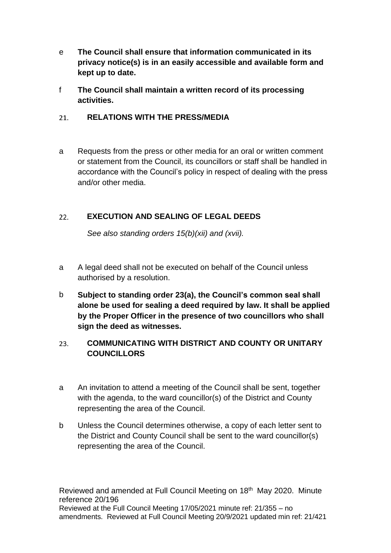- e **The Council shall ensure that information communicated in its privacy notice(s) is in an easily accessible and available form and kept up to date.**
- f **The Council shall maintain a written record of its processing activities.**

#### <span id="page-27-0"></span> $21.$ **RELATIONS WITH THE PRESS/MEDIA**

a Requests from the press or other media for an oral or written comment or statement from the Council, its councillors or staff shall be handled in accordance with the Council's policy in respect of dealing with the press and/or other media.

#### <span id="page-27-1"></span> $22.$ **EXECUTION AND SEALING OF LEGAL DEEDS**

*See also standing orders 15(b)(xii) and (xvii).*

- a A legal deed shall not be executed on behalf of the Council unless authorised by a resolution.
- b **Subject to standing order 23(a), the Council's common seal shall alone be used for sealing a deed required by law. It shall be applied by the Proper Officer in the presence of two councillors who shall sign the deed as witnesses.**

### <span id="page-27-2"></span>**COMMUNICATING WITH DISTRICT AND COUNTY OR UNITARY**  23. **COUNCILLORS**

- a An invitation to attend a meeting of the Council shall be sent, together with the agenda, to the ward councillor(s) of the District and County representing the area of the Council.
- b Unless the Council determines otherwise, a copy of each letter sent to the District and County Council shall be sent to the ward councillor(s) representing the area of the Council.